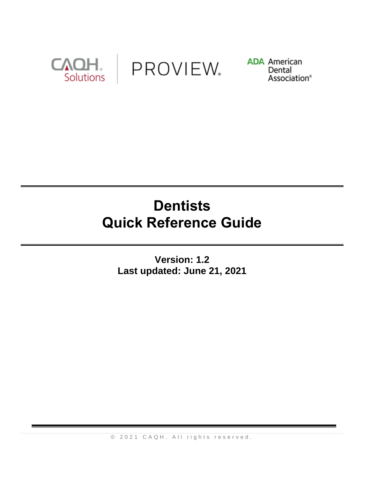

PROVIEW.

**ADA** American Dental Association®

# **Dentists Quick Reference Guide**

**Version: 1.2 Last updated: June 21, 2021**

© 2021 CAQH. All rights reserved.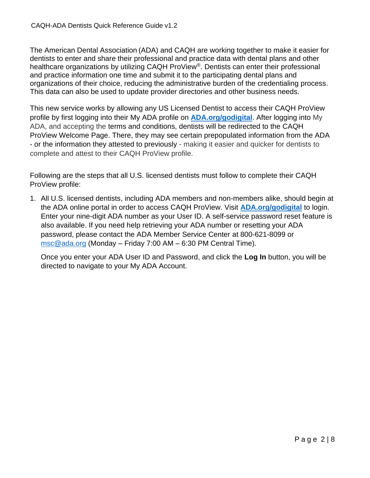The American Dental Association (ADA) and CAQH are working together to make it easier for dentists to enter and share their professional and practice data with dental plans and other healthcare organizations by utilizing CAQH ProView®. Dentists can enter their professional and practice information one time and submit it to the participating dental plans and organizations of their choice, reducing the administrative burden of the credentialing process. This data can also be used to update provider directories and other business needs.

This new service works by allowing any US Licensed Dentist to access their CAQH ProView profile by first logging into their My ADA profile on **[ADA.org/godigital](https://ebusiness.ada.org/login/loginCAQH.aspx?PO3ORGAPICODE=CAQHPRW89798928&utm_source=adaorg&utm_medium=vanityurl-godigital)**. After logging into My ADA, and accepting the terms and conditions, dentists will be redirected to the CAQH ProView Welcome Page. There, they may see certain prepopulated information from the ADA - or the information they attested to previously - making it easier and quicker for dentists to complete and attest to their CAQH ProView profile.

Following are the steps that all U.S. licensed dentists must follow to complete their CAQH ProView profile:

1. All U.S. licensed dentists, including ADA members and non-members alike, should begin at the ADA online portal in order to access CAQH ProView. Visit **[ADA.org/godigital](https://ebusiness.ada.org/login/loginCAQH.aspx?PO3ORGAPICODE=CAQHPRW89798928&utm_source=adaorg&utm_medium=vanityurl-godigital)** to login. Enter your nine-digit ADA number as your User ID. A self-service password reset feature is also available. If you need help retrieving your ADA number or resetting your ADA password, please contact the ADA Member Service Center at 800-621-8099 or [msc@ada.org](mailto:msc@ada.org) (Monday – Friday 7:00 AM – 6:30 PM Central Time).

Once you enter your ADA User ID and Password, and click the **Log In** button, you will be directed to navigate to your My ADA Account.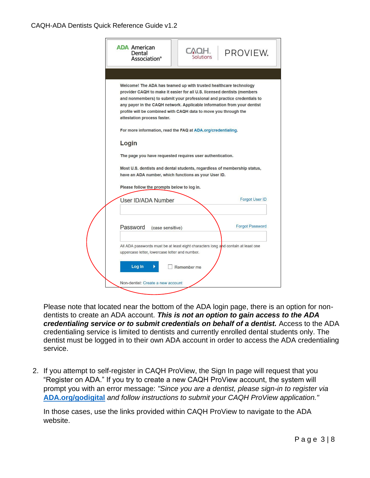#### CAQH-ADA Dentists Quick Reference Guide v1.2

| <b>ADA American</b><br>Dental<br>Association <sup>®</sup>                                                                                                                                                                                                                                                                                                                                            | TAOH.<br>Solutions | PROVIEW.               |
|------------------------------------------------------------------------------------------------------------------------------------------------------------------------------------------------------------------------------------------------------------------------------------------------------------------------------------------------------------------------------------------------------|--------------------|------------------------|
|                                                                                                                                                                                                                                                                                                                                                                                                      |                    |                        |
| Welcome! The ADA has teamed up with trusted healthcare technology<br>provider CAQH to make it easier for all U.S. licensed dentists (members<br>and nonmembers) to submit your professional and practice credentials to<br>any payer in the CAQH network. Applicable information from your dentist<br>profile will be combined with CAQH data to move you through the<br>attestation process faster. |                    |                        |
| For more information, read the FAQ at ADA.org/credentialing.                                                                                                                                                                                                                                                                                                                                         |                    |                        |
| Login                                                                                                                                                                                                                                                                                                                                                                                                |                    |                        |
|                                                                                                                                                                                                                                                                                                                                                                                                      |                    |                        |
| The page you have requested requires user authentication.                                                                                                                                                                                                                                                                                                                                            |                    |                        |
| Most U.S. dentists and dental students, regardless of membership status,<br>have an ADA number, which functions as your User ID.                                                                                                                                                                                                                                                                     |                    |                        |
| Please follow the prompts below to log in.                                                                                                                                                                                                                                                                                                                                                           |                    |                        |
| User ID/ADA Number                                                                                                                                                                                                                                                                                                                                                                                   |                    | <b>Forgot User ID</b>  |
|                                                                                                                                                                                                                                                                                                                                                                                                      |                    |                        |
| Password<br>(case sensitive)                                                                                                                                                                                                                                                                                                                                                                         |                    | <b>Forgot Password</b> |
|                                                                                                                                                                                                                                                                                                                                                                                                      |                    |                        |
| All ADA passwords must be at least eight characters long and contain at least one<br>uppercase letter, lowercase letter and number.                                                                                                                                                                                                                                                                  |                    |                        |
| Log In                                                                                                                                                                                                                                                                                                                                                                                               | Remember me        |                        |

Please note that located near the bottom of the ADA login page, there is an option for nondentists to create an ADA account. *This is not an option to gain access to the ADA*  credentialing service or to submit credentials on behalf of a dentist. Access to the ADA credentialing service is limited to dentists and currently enrolled dental students only. The dentist must be logged in to their own ADA account in order to access the ADA credentialing service.

2. If you attempt to self-register in CAQH ProView, the Sign In page will request that you "Register on ADA." If you try to create a new CAQH ProView account, the system will prompt you with an error message: *"Since you are a dentist, please sign-in to register via*  **[ADA.org/godigital](https://ebusiness.ada.org/login/loginCAQH.aspx?PO3ORGAPICODE=CAQHPRW89798928&utm_source=adaorg&utm_medium=vanityurl-godigital)** *and follow instructions to submit your CAQH ProView application."* 

In those cases, use the links provided within CAQH ProView to navigate to the ADA website.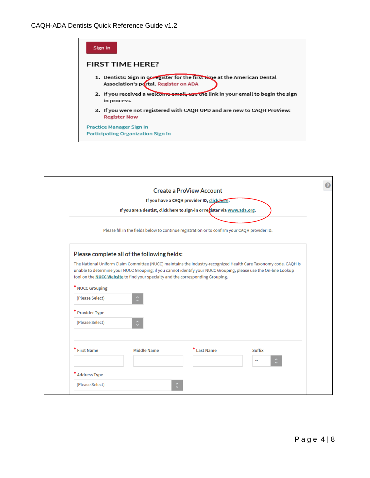

|                                                                                               |                                                                                        | <b>Create a ProView Account</b>                                                                                  |                                                                                                                  |  |  |
|-----------------------------------------------------------------------------------------------|----------------------------------------------------------------------------------------|------------------------------------------------------------------------------------------------------------------|------------------------------------------------------------------------------------------------------------------|--|--|
|                                                                                               |                                                                                        | If you have a CAQH provider ID, click here.                                                                      |                                                                                                                  |  |  |
|                                                                                               |                                                                                        | If you are a dentist, click here to sign-in or register via www.ada.org.                                         |                                                                                                                  |  |  |
| Please fill in the fields below to continue registration or to confirm your CAQH provider ID. |                                                                                        |                                                                                                                  |                                                                                                                  |  |  |
|                                                                                               | Please complete all of the following fields:                                           |                                                                                                                  |                                                                                                                  |  |  |
|                                                                                               | tool on the <b>NUCC Website</b> to find your specialty and the corresponding Grouping. | unable to determine your NUCC Grouping; if you cannot identify your NUCC Grouping, please use the On-line Lookup | The National Uniform Claim Committee (NUCC) maintains the industry-recognized Health Care Taxonomy code. CAQH is |  |  |
| * NUCC Grouping                                                                               |                                                                                        |                                                                                                                  |                                                                                                                  |  |  |
| (Please Select)                                                                               | $\hat{\cdot}$                                                                          |                                                                                                                  |                                                                                                                  |  |  |
| <b>Provider Type</b>                                                                          |                                                                                        |                                                                                                                  |                                                                                                                  |  |  |
| (Please Select)                                                                               | $\hat{\cdot}$                                                                          |                                                                                                                  |                                                                                                                  |  |  |
|                                                                                               |                                                                                        |                                                                                                                  |                                                                                                                  |  |  |
| * First Name                                                                                  | <b>Middle Name</b>                                                                     | $^*$ Last Name                                                                                                   | <b>Suffix</b>                                                                                                    |  |  |
|                                                                                               |                                                                                        |                                                                                                                  |                                                                                                                  |  |  |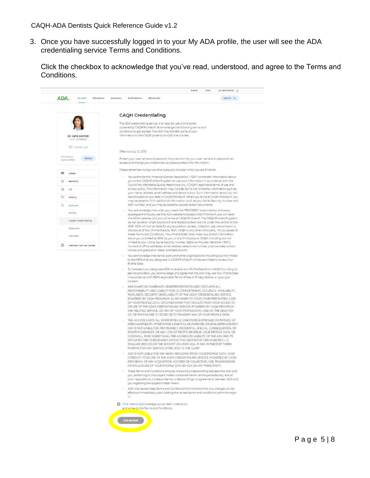3. Once you have successfully logged in to your My ADA profile, the user will see the ADA credentialing service Terms and Conditions.

Click the checkbox to acknowledge that you've read, understood, and agree to the Terms and Conditions.

| ADA.<br>My ADA<br>Education Advocacy     | Search Q<br>Publications<br>Resources                                                                                                                                                                                                                                                                                                                                                                                                                                                                                                                                                                                                                                                                                                                                                                                                                                                                                                                                                 |
|------------------------------------------|---------------------------------------------------------------------------------------------------------------------------------------------------------------------------------------------------------------------------------------------------------------------------------------------------------------------------------------------------------------------------------------------------------------------------------------------------------------------------------------------------------------------------------------------------------------------------------------------------------------------------------------------------------------------------------------------------------------------------------------------------------------------------------------------------------------------------------------------------------------------------------------------------------------------------------------------------------------------------------------|
|                                          | <b>CAQH Credentialing</b>                                                                                                                                                                                                                                                                                                                                                                                                                                                                                                                                                                                                                                                                                                                                                                                                                                                                                                                                                             |
| Dr. Jane Dentist<br>ACA # 475489003      | The ADA credentialing service is an easy-to-use online portal<br>powered by CAQH ProView®. Acknowledge the following terms and<br>conditions to get started. The ADA may transfer some of your<br>information to the CAQH portal to simplify the process.                                                                                                                                                                                                                                                                                                                                                                                                                                                                                                                                                                                                                                                                                                                             |
| <b>AB</b> Member card                    | Effective July 12, 2018                                                                                                                                                                                                                                                                                                                                                                                                                                                                                                                                                                                                                                                                                                                                                                                                                                                                                                                                                               |
| Membership<br>Renew<br>expires (2/31/21) | Protect your username and password. Anyone who has your user name and password can<br>access and change your credentials, so please protect this information.                                                                                                                                                                                                                                                                                                                                                                                                                                                                                                                                                                                                                                                                                                                                                                                                                         |
| 魄<br>Latest                              | Please remember to sign out and close your browser when you are finished.                                                                                                                                                                                                                                                                                                                                                                                                                                                                                                                                                                                                                                                                                                                                                                                                                                                                                                             |
| Ŵ<br>Benefits                            | · You authorize the American Dental Association ("ADA") to transfer information about<br>you to the CAQH ProView® system to use such information in accordance with the                                                                                                                                                                                                                                                                                                                                                                                                                                                                                                                                                                                                                                                                                                                                                                                                               |
| 70<br>CE                                 | Council for Affordable Quality Healthcare, Inc. ("CAQH") applicable terms of use and<br>privacy policy. This information may include, but is not limited to, information such as<br>your name, address, email address and dental school. Such information about you will                                                                                                                                                                                                                                                                                                                                                                                                                                                                                                                                                                                                                                                                                                              |
| Э<br><b>History</b>                      | become part of your data in CAQH ProView®. When you arrive at CAQH ProView®, you<br>may be asked to fill in additional information, such as your Social Security number and                                                                                                                                                                                                                                                                                                                                                                                                                                                                                                                                                                                                                                                                                                                                                                                                           |
| 8<br>Account                             | DEA number, and you may be asked to upload certain documents.<br>. You acknowledge that when you check the "PROCEED" button below, and every                                                                                                                                                                                                                                                                                                                                                                                                                                                                                                                                                                                                                                                                                                                                                                                                                                          |
| <b>Profile</b><br>CAOH Credentialing     | subsequent time you use the ADA website to access CAQH ProView®, you will leave<br>the ADA's website, and you will arrive at CAQH ProView8. The CAQH ProView8 system,                                                                                                                                                                                                                                                                                                                                                                                                                                                                                                                                                                                                                                                                                                                                                                                                                 |
| Password                                 | as well as other CAQH Solutions® and related content are not under the control of the<br>ADA. ADA will not be liable for any acquisition, access, collection, use, transmission or                                                                                                                                                                                                                                                                                                                                                                                                                                                                                                                                                                                                                                                                                                                                                                                                    |
| <b>Dayment</b>                           | disclosure of Your Profile Data by ADA, CAQH or any other third party. For purposes of<br>these Terms and Conditions, "Your Profile Data" shall mean any and all information<br>about you provided by ADA, by you, or any third party to CAQH, including but not                                                                                                                                                                                                                                                                                                                                                                                                                                                                                                                                                                                                                                                                                                                      |
| $\circledcirc$<br>Member Service Center  | limited to your name, Social Security number, National Provider Identifier ("NPI"),<br>home and office addresses, email address, telephone number, practice areas, school<br>names and graduation dates, and date of birth.                                                                                                                                                                                                                                                                                                                                                                                                                                                                                                                                                                                                                                                                                                                                                           |
|                                          | to the ADA) that you designate in CAQH ProView® will be permitted to access Your<br>Profile Data.<br>· To the extent you designate ADA to receive Your Profile Data from CAQH (including its<br>service providers), you acknowledge and agree that the ADA may use Your Profile Data<br>in accordance with ADA's applicable Terms of Use or Privacy Notice, or upon your<br>consent<br>ADA MAKES NO WARRANTY OR REPRESENTATION AND DISCLAIMS ALL<br>RESPONSIBILITY AND LIABILITY FOR: (I) COMPLETENESS, ACCURACY, AVAILABILITY,<br>TIMELINESS, SECURITY OR RELIABILITY OF THE ADA® CREDENTIALING SERVICE,<br>POWERED BY CAQH PROVIEW'S (II) ANY HARM TO YOUR COMPUTER SYSTEM, LOSS<br>OF YOUR PROFILE DATA, OR OTHER HARM THAT RESULTS FROM YOUR ACCESS TO<br>OR USE OF THE ADA® CREDENTIALING SERVICE, POWERED BY CAQH PROVIEW®,<br>ANY RELATED SERVICE, OR ANY OF YOUR PROFILE DATA, AND (III) THE DELETION<br>OF, OR THE FAILURE TO STORE OR TO TRANSMIT ANY OF YOUR PROFILE DATA. |
|                                          | THE ADA DISCLAIMS ALL WARRANTIES & CONDITIONS EXPRESSED OR IMPLIED, OF<br>MERCHANTABILITY, FITNESS FOR A PARTICULAR PURPOSE, OR NON-INFRINGEMENT.<br>ADA IS NOT LIABLE FOR ANY INDIRECT, INCIDENTAL, SPECIAL, CONSEQUENTIAL OR<br>PUNITIVE DAMAGES, OR ANY LOSS OF PROFIT, REVENUE, YOUR PROFILE DATA, OR<br>GOODWILL. IN NO EVENT SHALL THE AGGREGATE LIABILITY OF THE ADA AND ITS<br>AFFILIATES AND SUBSIDIARIES EXCEED THE GREATER OF ONE HUNDRED U.S.<br>DOLLARS (\$100.00) OR THE AMOUNT YOU PAID ADA, IF ANY, IN THE PAST THREE<br>MONTHS FOR ANY SERVICE GIVING RISE TO THE CLAIM.<br>ADA IS NOT LIABLE FOR ANY HARM RESULTING FROM YOUR PROFILE DATA, YOUR                                                                                                                                                                                                                                                                                                                    |
|                                          | CONDUCT, YOUR USE OF THE ADA® CREDENTIALING SERVICE, POWERED BY CAQH<br>PROVIEWS, OR ANY ACQUISITION, ACCCESS OR COLLECTION, USE, TRANSMISSION<br>OR DISCLOSURE OF YOUR PROFILE DATA BY ADA OR ANY THIRD PARTY.                                                                                                                                                                                                                                                                                                                                                                                                                                                                                                                                                                                                                                                                                                                                                                       |
|                                          | . These Terms and Conditions embody the entire understanding between the ADA and<br>you, pertaining to the subject matter contained herein; and supersedes any and all<br>prior negotiations, correspondence, understandings, or agreements between ADA and<br>you regarding the subject matter herein.                                                                                                                                                                                                                                                                                                                                                                                                                                                                                                                                                                                                                                                                               |
|                                          | - ADA may revise these Terms and Conditions from time to time. Any changes will be<br>effective immediately upon posting the revised terms and conditions within this sign-<br>in.                                                                                                                                                                                                                                                                                                                                                                                                                                                                                                                                                                                                                                                                                                                                                                                                    |
|                                          | Click here to acknowledge you've read, understood<br>and agree to the Terms and Conditions.                                                                                                                                                                                                                                                                                                                                                                                                                                                                                                                                                                                                                                                                                                                                                                                                                                                                                           |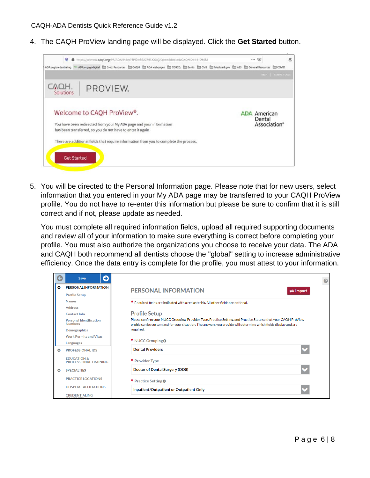4. The CAQH ProView landing page will be displayed. Click the **Get Started** button.



5. You will be directed to the Personal Information page. Please note that for new users, select information that you entered in your My ADA page may be transferred to your CAQH ProView profile. You do not have to re-enter this information but please be sure to confirm that it is still correct and if not, please update as needed.

You must complete all required information fields, upload all required supporting documents and review all of your information to make sure everything is correct before completing your profile. You must also authorize the organizations you choose to receive your data. The ADA and CAQH both recommend all dentists choose the "global" setting to increase administrative efficiency. Once the data entry is complete for the profile, you must attest to your information.

| G<br>O<br>Save                                         |                                                                                                                                                                                                                                       |
|--------------------------------------------------------|---------------------------------------------------------------------------------------------------------------------------------------------------------------------------------------------------------------------------------------|
| ۰<br><b>PERSONAL INFORMATION</b>                       | <b>PERSONAL INFORMATION</b><br>$\rightleftarrows$ Import                                                                                                                                                                              |
| <b>Profile Setup</b>                                   |                                                                                                                                                                                                                                       |
| <b>Names</b>                                           | * Required fields are indicated with a red asterisk. All other fields are optional.                                                                                                                                                   |
| <b>Address</b>                                         |                                                                                                                                                                                                                                       |
| <b>Contact Info</b>                                    | <b>Profile Setup</b>                                                                                                                                                                                                                  |
| <b>Personal Identification</b><br><b>Numbers</b>       | Please confirm your NUCC Grouping, Provider Type, Practice Setting, and Practice State so that your CAQH ProView<br>profile can be customized for your situation. The answers you provide will determine which fields display and are |
| <b>Demographics</b>                                    | required.                                                                                                                                                                                                                             |
| <b>Work Permits and Visas</b>                          |                                                                                                                                                                                                                                       |
| Languages                                              | * NUCC Grouping 0                                                                                                                                                                                                                     |
| <b>PROFESSIONAL IDS</b><br>Θ                           | <b>Dental Providers</b>                                                                                                                                                                                                               |
| <b>EDUCATION &amp;</b><br><b>PROFESSIONAL TRAINING</b> | * Provider Type                                                                                                                                                                                                                       |
| <b>SPECIALTIES</b><br>o                                | <b>Doctor of Dental Surgery (DDS)</b>                                                                                                                                                                                                 |
| <b>PRACTICE LOCATIONS</b>                              | * Practice Setting <b>O</b>                                                                                                                                                                                                           |
| <b>HOSPITAL AFFILIATIONS</b>                           | Inpatient/Outpatient or Outpatient Only                                                                                                                                                                                               |
| <b>CREDENTIALING</b><br>CONTACTO                       |                                                                                                                                                                                                                                       |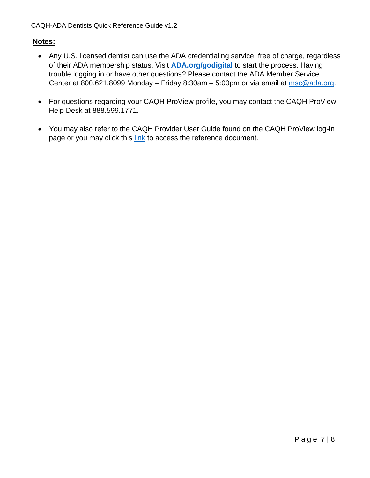#### **Notes:**

- Any U.S. licensed dentist can use the ADA credentialing service, free of charge, regardless of their ADA membership status. Visit **[ADA.org/godigital](https://ebusiness.ada.org/login/loginCAQH.aspx?PO3ORGAPICODE=CAQHPRW89798928&utm_source=adaorg&utm_medium=vanityurl-godigital)** to start the process. Having trouble logging in or have other questions? Please contact the ADA Member Service Center at 800.621.8099 Monday – Friday 8:30am – 5:00pm or via email at [msc@ada.org.](mailto:msc@ada.org)
- For questions regarding your CAQH ProView profile, you may contact the CAQH ProView Help Desk at 888.599.1771.
- You may also refer to the CAQH Provider User Guide found on the CAQH ProView log-in page or you may click this [link](https://www.caqh.org/sites/default/files/solutions/proview/guide/provider-user-guide.pdf) to access the reference document.